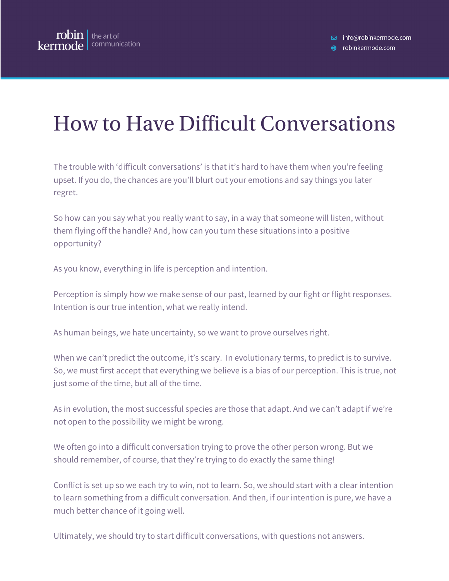## How to Have Difficult Conversations

The trouble with 'difficult conversations' is that it's hard to have them when you're feeling upset. If you do, the chances are you'll blurt out your emotions and say things you later regret.

So how can you say what you really want to say, in a way that someone will listen, without them flying off the handle? And, how can you turn these situations into a positive opportunity?

As you know, everything in life is perception and intention.

Perception is simply how we make sense of our past, learned by our fight or flight responses. Intention is our true intention, what we really intend.

As human beings, we hate uncertainty, so we want to prove ourselves right.

When we can't predict the outcome, it's scary. In evolutionary terms, to predict is to survive. So, we must first accept that everything we believe is a bias of our perception. This is true, not just some of the time, but all of the time.

As in evolution, the most successful species are those that adapt. And we can't adapt if we're not open to the possibility we might be wrong.

We often go into a difficult conversation trying to prove the other person wrong. But we should remember, of course, that they're trying to do exactly the same thing!

Conflict is set up so we each try to win, not to learn. So, we should start with a clear intention to learn something from a difficult conversation. And then, if our intention is pure, we have a much better chance of it going well.

Ultimately, we should try to start difficult conversations, with questions not answers.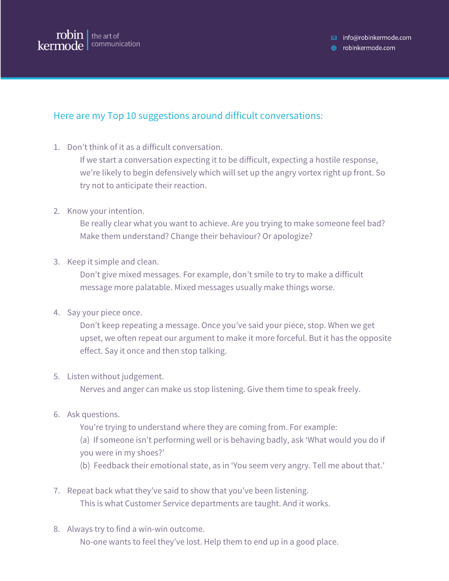

□ info@robinkermode.com

**⊕** robinkermode.com

## Here are my Top 10 suggestions around difficult conversations:

1. Don't think of it as a difficult conversation.

If we start a conversation expecting it to be difficult, expecting a hostile response, we're likely to begin defensively which will set up the angry vortex right up front. So try not to anticipate their reaction.

2. Know your intention.

Be really clear what you want to achieve. Are you trying to make someone feel bad? Make them understand? Change their behaviour? Or apologize?

3. Keep it simple and clean.

Don't give mixed messages. For example, don't smile to try to make a difficult message more palatable. Mixed messages usually make things worse.

4. Say your piece once.

Don't keep repeating a message. Once you've said your piece, stop. When we get upset, we often repeat our argument to make it more forceful. But it has the opposite effect. Say it once and then stop talking.

5. Listen without judgement.

Nerves and anger can make us stop listening. Give them time to speak freely.

6. Ask questions.

You're trying to understand where they are coming from. For example:

(a) If someone isn't performing well or is behaving badly, ask 'What would you do if you were in my shoes?'

- (b) Feedback their emotional state, as in 'You seem very angry. Tell me about that.'
- 7. Repeat back what they've said to show that you've been listening. This is what Customer Service departments are taught. And it works.
- 8. Always try to find a win-win outcome. No-one wants to feel they've lost. Help them to end up in a good place.